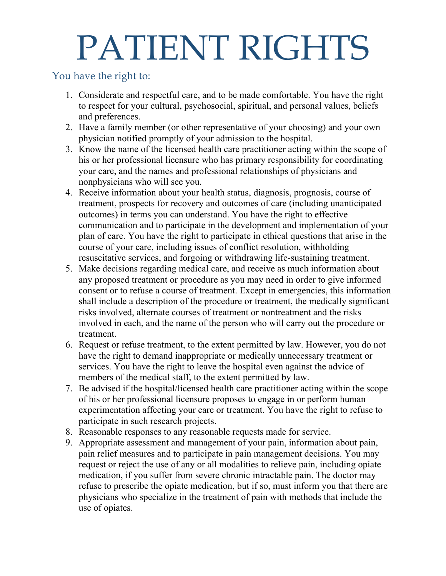## PATIENT RIGHTS

## You have the right to:

- 1. Considerate and respectful care, and to be made comfortable. You have the right to respect for your cultural, psychosocial, spiritual, and personal values, beliefs and preferences.
- 2. Have a family member (or other representative of your choosing) and your own physician notified promptly of your admission to the hospital.
- 3. Know the name of the licensed health care practitioner acting within the scope of his or her professional licensure who has primary responsibility for coordinating your care, and the names and professional relationships of physicians and nonphysicians who will see you.
- 4. Receive information about your health status, diagnosis, prognosis, course of treatment, prospects for recovery and outcomes of care (including unanticipated outcomes) in terms you can understand. You have the right to effective communication and to participate in the development and implementation of your plan of care. You have the right to participate in ethical questions that arise in the course of your care, including issues of conflict resolution, withholding resuscitative services, and forgoing or withdrawing life-sustaining treatment.
- 5. Make decisions regarding medical care, and receive as much information about any proposed treatment or procedure as you may need in order to give informed consent or to refuse a course of treatment. Except in emergencies, this information shall include a description of the procedure or treatment, the medically significant risks involved, alternate courses of treatment or nontreatment and the risks involved in each, and the name of the person who will carry out the procedure or treatment.
- 6. Request or refuse treatment, to the extent permitted by law. However, you do not have the right to demand inappropriate or medically unnecessary treatment or services. You have the right to leave the hospital even against the advice of members of the medical staff, to the extent permitted by law.
- 7. Be advised if the hospital/licensed health care practitioner acting within the scope of his or her professional licensure proposes to engage in or perform human experimentation affecting your care or treatment. You have the right to refuse to participate in such research projects.
- 8. Reasonable responses to any reasonable requests made for service.
- 9. Appropriate assessment and management of your pain, information about pain, pain relief measures and to participate in pain management decisions. You may request or reject the use of any or all modalities to relieve pain, including opiate medication, if you suffer from severe chronic intractable pain. The doctor may refuse to prescribe the opiate medication, but if so, must inform you that there are physicians who specialize in the treatment of pain with methods that include the use of opiates.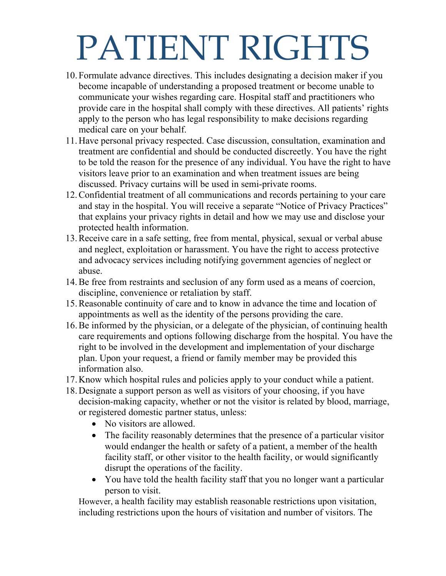## PATIENT RIGHTS

- 10. Formulate advance directives. This includes designating a decision maker if you become incapable of understanding a proposed treatment or become unable to communicate your wishes regarding care. Hospital staff and practitioners who provide care in the hospital shall comply with these directives. All patients' rights apply to the person who has legal responsibility to make decisions regarding medical care on your behalf.
- 11.Have personal privacy respected. Case discussion, consultation, examination and treatment are confidential and should be conducted discreetly. You have the right to be told the reason for the presence of any individual. You have the right to have visitors leave prior to an examination and when treatment issues are being discussed. Privacy curtains will be used in semi-private rooms.
- 12.Confidential treatment of all communications and records pertaining to your care and stay in the hospital. You will receive a separate "Notice of Privacy Practices" that explains your privacy rights in detail and how we may use and disclose your protected health information.
- 13.Receive care in a safe setting, free from mental, physical, sexual or verbal abuse and neglect, exploitation or harassment. You have the right to access protective and advocacy services including notifying government agencies of neglect or abuse.
- 14.Be free from restraints and seclusion of any form used as a means of coercion, discipline, convenience or retaliation by staff.
- 15.Reasonable continuity of care and to know in advance the time and location of appointments as well as the identity of the persons providing the care.
- 16.Be informed by the physician, or a delegate of the physician, of continuing health care requirements and options following discharge from the hospital. You have the right to be involved in the development and implementation of your discharge plan. Upon your request, a friend or family member may be provided this information also.
- 17.Know which hospital rules and policies apply to your conduct while a patient.
- 18.Designate a support person as well as visitors of your choosing, if you have decision-making capacity, whether or not the visitor is related by blood, marriage, or registered domestic partner status, unless:
	- No visitors are allowed.
	- The facility reasonably determines that the presence of a particular visitor would endanger the health or safety of a patient, a member of the health facility staff, or other visitor to the health facility, or would significantly disrupt the operations of the facility.
	- You have told the health facility staff that you no longer want a particular person to visit.

However, a health facility may establish reasonable restrictions upon visitation, including restrictions upon the hours of visitation and number of visitors. The